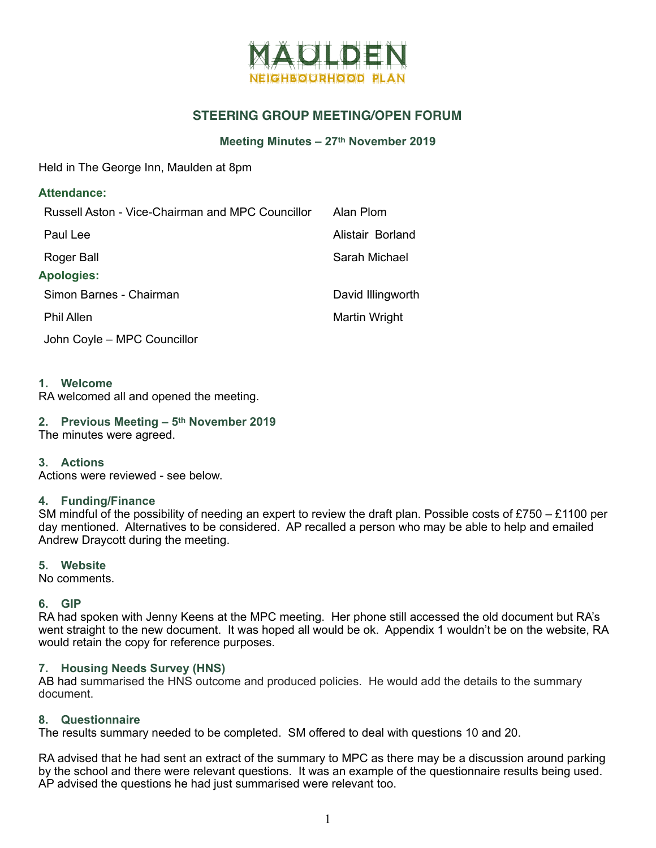

# **STEERING GROUP MEETING/OPEN FORUM**

### **Meeting Minutes – 27th November 2019**

Held in The George Inn, Maulden at 8pm

| <b>Attendance:</b>                               |                   |
|--------------------------------------------------|-------------------|
| Russell Aston - Vice-Chairman and MPC Councillor | Alan Plom         |
| Paul Lee                                         | Alistair Borland  |
| Roger Ball                                       | Sarah Michael     |
| <b>Apologies:</b>                                |                   |
| Simon Barnes - Chairman                          | David Illingworth |
| <b>Phil Allen</b>                                | Martin Wright     |
| John Coyle - MPC Councillor                      |                   |

**1. Welcome** 

RA welcomed all and opened the meeting.

## **2. Previous Meeting – 5th November 2019**

The minutes were agreed.

**3. Actions** 

Actions were reviewed - see below.

### **4. Funding/Finance**

SM mindful of the possibility of needing an expert to review the draft plan. Possible costs of £750 – £1100 per day mentioned. Alternatives to be considered. AP recalled a person who may be able to help and emailed Andrew Draycott during the meeting.

### **5. Website**

No comments.

## **6. GIP**

RA had spoken with Jenny Keens at the MPC meeting. Her phone still accessed the old document but RA's went straight to the new document. It was hoped all would be ok. Appendix 1 wouldn't be on the website, RA would retain the copy for reference purposes.

### **7. Housing Needs Survey (HNS)**

AB had summarised the HNS outcome and produced policies. He would add the details to the summary document.

## **8. Questionnaire**

The results summary needed to be completed. SM offered to deal with questions 10 and 20.

RA advised that he had sent an extract of the summary to MPC as there may be a discussion around parking by the school and there were relevant questions. It was an example of the questionnaire results being used. AP advised the questions he had just summarised were relevant too.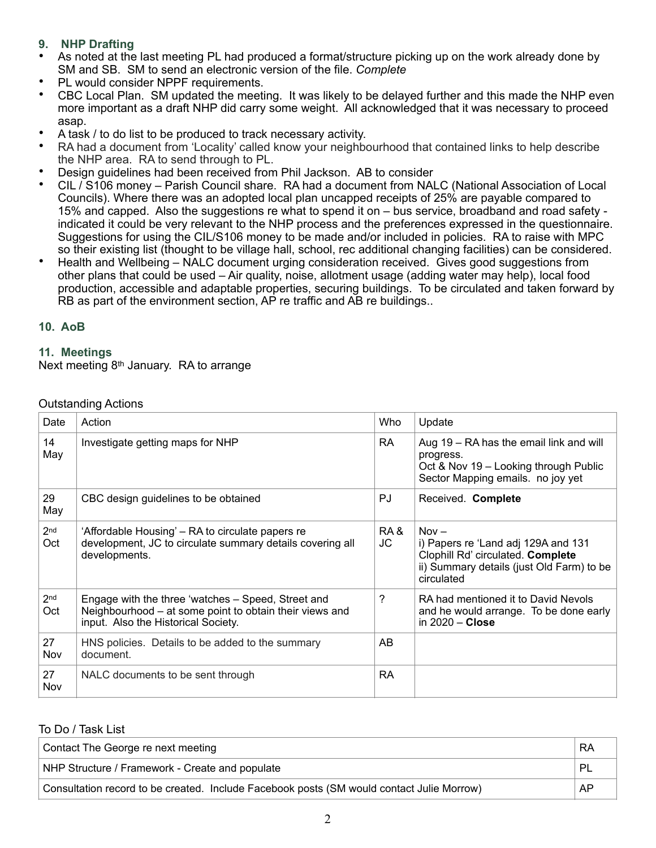## **9. NHP Drafting**

- As noted at the last meeting PL had produced a format/structure picking up on the work already done by SM and SB. SM to send an electronic version of the file. *Complete*
- PL would consider NPPF requirements.<br>• CBC Local Plan, SM undated the meeti
- CBC Local Plan. SM updated the meeting. It was likely to be delayed further and this made the NHP even more important as a draft NHP did carry some weight. All acknowledged that it was necessary to proceed asap.
- A task / to do list to be produced to track necessary activity.
- RA had a document from 'Locality' called know your neighbourhood that contained links to help describe the NHP area. RA to send through to PL.
- Design guidelines had been received from Phil Jackson. AB to consider
- CIL / S106 money Parish Council share. RA had a document from NALC (National Association of Local Councils). Where there was an adopted local plan uncapped receipts of 25% are payable compared to 15% and capped. Also the suggestions re what to spend it on – bus service, broadband and road safety indicated it could be very relevant to the NHP process and the preferences expressed in the questionnaire. Suggestions for using the CIL/S106 money to be made and/or included in policies. RA to raise with MPC so their existing list (thought to be village hall, school, rec additional changing facilities) can be considered.
- Health and Wellbeing NALC document urging consideration received. Gives good suggestions from other plans that could be used – Air quality, noise, allotment usage (adding water may help), local food production, accessible and adaptable properties, securing buildings. To be circulated and taken forward by RB as part of the environment section, AP re traffic and AB re buildings..

### **10. AoB**

### **11. Meetings**

Next meeting 8th January. RA to arrange

| Date                   | Action                                                                                                                                               | Who       | Update                                                                                                                                         |
|------------------------|------------------------------------------------------------------------------------------------------------------------------------------------------|-----------|------------------------------------------------------------------------------------------------------------------------------------------------|
| 14<br>May              | Investigate getting maps for NHP                                                                                                                     | RA.       | Aug 19 - RA has the email link and will<br>progress.<br>Oct & Nov 19 - Looking through Public<br>Sector Mapping emails. no joy yet             |
| 29<br>May              | CBC design guidelines to be obtained                                                                                                                 | PJ.       | Received. Complete                                                                                                                             |
| 2 <sub>nd</sub><br>Oct | 'Affordable Housing' – RA to circulate papers re<br>development, JC to circulate summary details covering all<br>developments.                       | RA&<br>JC | $Nov -$<br>i) Papers re 'Land adj 129A and 131<br>Clophill Rd' circulated. Complete<br>ii) Summary details (just Old Farm) to be<br>circulated |
| 2 <sub>nd</sub><br>Oct | Engage with the three 'watches - Speed, Street and<br>Neighbourhood – at some point to obtain their views and<br>input. Also the Historical Society. | ?         | RA had mentioned it to David Nevols<br>and he would arrange. To be done early<br>in $2020 -$ Close                                             |
| 27<br>Nov              | HNS policies. Details to be added to the summary<br>document.                                                                                        | AB        |                                                                                                                                                |
| 27<br>Nov              | NALC documents to be sent through                                                                                                                    | <b>RA</b> |                                                                                                                                                |

## Outstanding Actions

### To Do / Task List

| Contact The George re next meeting                                                        | <b>RA</b>    |
|-------------------------------------------------------------------------------------------|--------------|
| NHP Structure / Framework - Create and populate                                           | $\mathsf{P}$ |
| Consultation record to be created. Include Facebook posts (SM would contact Julie Morrow) | AP           |